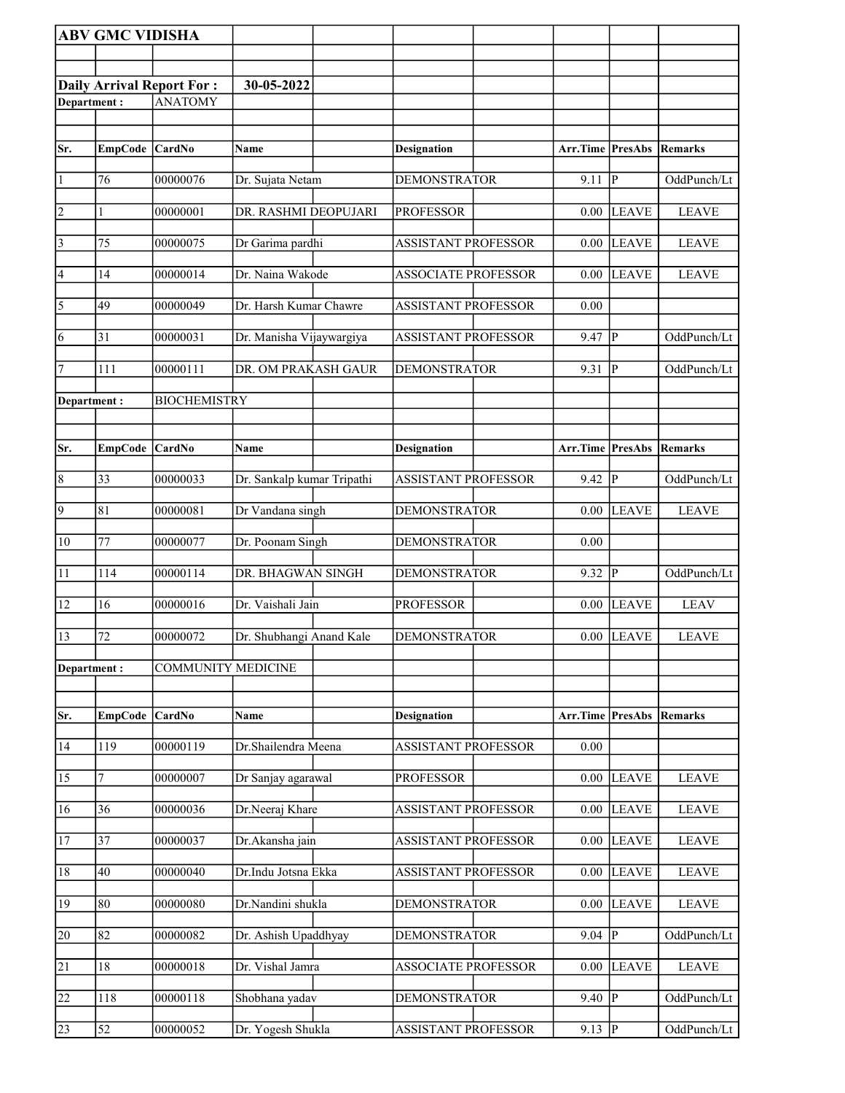|                 | <b>ABV GMC VIDISHA</b> |                                  |                            |  |                            |  |                                 |                |              |
|-----------------|------------------------|----------------------------------|----------------------------|--|----------------------------|--|---------------------------------|----------------|--------------|
|                 |                        |                                  |                            |  |                            |  |                                 |                |              |
|                 |                        | <b>Daily Arrival Report For:</b> | 30-05-2022                 |  |                            |  |                                 |                |              |
| Department:     |                        | <b>ANATOMY</b>                   |                            |  |                            |  |                                 |                |              |
|                 |                        |                                  |                            |  |                            |  |                                 |                |              |
| Sr.             | EmpCode CardNo         |                                  | <b>Name</b>                |  | <b>Designation</b>         |  | <b>Arr.Time PresAbs Remarks</b> |                |              |
|                 |                        |                                  |                            |  |                            |  |                                 |                |              |
| $\vert$ 1       | 76                     | 00000076                         | Dr. Sujata Netam           |  | <b>DEMONSTRATOR</b>        |  | 9.11                            | $\overline{P}$ | OddPunch/Lt  |
| $\overline{2}$  | 1                      | 00000001                         | DR. RASHMI DEOPUJARI       |  | <b>PROFESSOR</b>           |  | 0.00                            | <b>LEAVE</b>   | <b>LEAVE</b> |
| $\vert$ 3       | 75                     | 00000075                         | Dr Garima pardhi           |  | <b>ASSISTANT PROFESSOR</b> |  | 0.00                            | <b>LEAVE</b>   | <b>LEAVE</b> |
| 4               | 14                     | 00000014                         | Dr. Naina Wakode           |  | <b>ASSOCIATE PROFESSOR</b> |  | 0.00                            | <b>LEAVE</b>   | <b>LEAVE</b> |
| $\overline{5}$  | 49                     | 00000049                         | Dr. Harsh Kumar Chawre     |  | <b>ASSISTANT PROFESSOR</b> |  | 0.00                            |                |              |
| 6               | 31                     | 00000031                         | Dr. Manisha Vijaywargiya   |  | <b>ASSISTANT PROFESSOR</b> |  | 9.47                            | $\overline{P}$ | OddPunch/Lt  |
| 7               | 111                    | 00000111                         | DR. OM PRAKASH GAUR        |  | <b>DEMONSTRATOR</b>        |  | 9.31                            | $\mathbf{P}$   | OddPunch/Lt  |
| Department:     |                        | <b>BIOCHEMISTRY</b>              |                            |  |                            |  |                                 |                |              |
|                 |                        |                                  |                            |  |                            |  |                                 |                |              |
| Sr.             | <b>EmpCode</b>         | <b>CardNo</b>                    | Name                       |  | <b>Designation</b>         |  | <b>Arr.Time PresAbs</b>         |                | Remarks      |
| $\vert 8$       | 33                     | 00000033                         | Dr. Sankalp kumar Tripathi |  | <b>ASSISTANT PROFESSOR</b> |  | 9.42                            | $\mathbf P$    | OddPunch/Lt  |
| $\overline{9}$  |                        |                                  |                            |  |                            |  |                                 |                |              |
|                 | 81                     | 00000081                         | Dr Vandana singh           |  | <b>DEMONSTRATOR</b>        |  | 0.00                            | <b>LEAVE</b>   | <b>LEAVE</b> |
| $ 10\rangle$    | 77                     | 00000077                         | Dr. Poonam Singh           |  | <b>DEMONSTRATOR</b>        |  | 0.00                            |                |              |
| 11              | 114                    | 00000114                         | DR. BHAGWAN SINGH          |  | <b>DEMONSTRATOR</b>        |  | 9.32                            | $\mathbf{P}$   | OddPunch/Lt  |
| 12              | 16                     | 00000016                         | Dr. Vaishali Jain          |  | <b>PROFESSOR</b>           |  | 0.00                            | <b>LEAVE</b>   | <b>LEAV</b>  |
| 13              | 72                     | 00000072                         | Dr. Shubhangi Anand Kale   |  | <b>DEMONSTRATOR</b>        |  |                                 | $0.00$ LEAVE   | <b>LEAVE</b> |
| Department:     |                        | <b>COMMUNITY MEDICINE</b>        |                            |  |                            |  |                                 |                |              |
|                 |                        |                                  |                            |  |                            |  |                                 |                |              |
| Sr.             | <b>EmpCode</b>         | <b>CardNo</b>                    | Name                       |  | <b>Designation</b>         |  | <b>Arr.Time PresAbs Remarks</b> |                |              |
| 14              | 119                    | 00000119                         | Dr.Shailendra Meena        |  | <b>ASSISTANT PROFESSOR</b> |  | $0.00\,$                        |                |              |
| $\overline{15}$ | 7                      | 00000007                         | Dr Sanjay agarawal         |  | <b>PROFESSOR</b>           |  | 0.00                            | <b>LEAVE</b>   | <b>LEAVE</b> |
| 16              | 36                     | 00000036                         | Dr.Neeraj Khare            |  | <b>ASSISTANT PROFESSOR</b> |  | 0.00                            | <b>LEAVE</b>   | <b>LEAVE</b> |
| 17              | 37                     | 00000037                         | Dr.Akansha jain            |  | <b>ASSISTANT PROFESSOR</b> |  | 0.00                            | <b>LEAVE</b>   | <b>LEAVE</b> |
| 18              | 40                     | 00000040                         | Dr.Indu Jotsna Ekka        |  | <b>ASSISTANT PROFESSOR</b> |  | 0.00                            | <b>LEAVE</b>   | <b>LEAVE</b> |
|                 |                        |                                  |                            |  |                            |  |                                 |                |              |
| 19              | 80                     | 00000080                         | Dr.Nandini shukla          |  | <b>DEMONSTRATOR</b>        |  | 0.00                            | <b>LEAVE</b>   | <b>LEAVE</b> |
| $\overline{20}$ | 82                     | 00000082                         | Dr. Ashish Upaddhyay       |  | <b>DEMONSTRATOR</b>        |  | 9.04                            | $\overline{P}$ | OddPunch/Lt  |
| 21              | 18                     | 00000018                         | Dr. Vishal Jamra           |  | <b>ASSOCIATE PROFESSOR</b> |  | 0.00                            | <b>LEAVE</b>   | <b>LEAVE</b> |
| $\overline{22}$ | 118                    | 00000118                         | Shobhana yadav             |  | <b>DEMONSTRATOR</b>        |  | 9.40                            | $\overline{P}$ | OddPunch/Lt  |
| 23              | 52                     | 00000052                         | Dr. Yogesh Shukla          |  | <b>ASSISTANT PROFESSOR</b> |  | $9.13 \overline{P}$             |                | OddPunch/Lt  |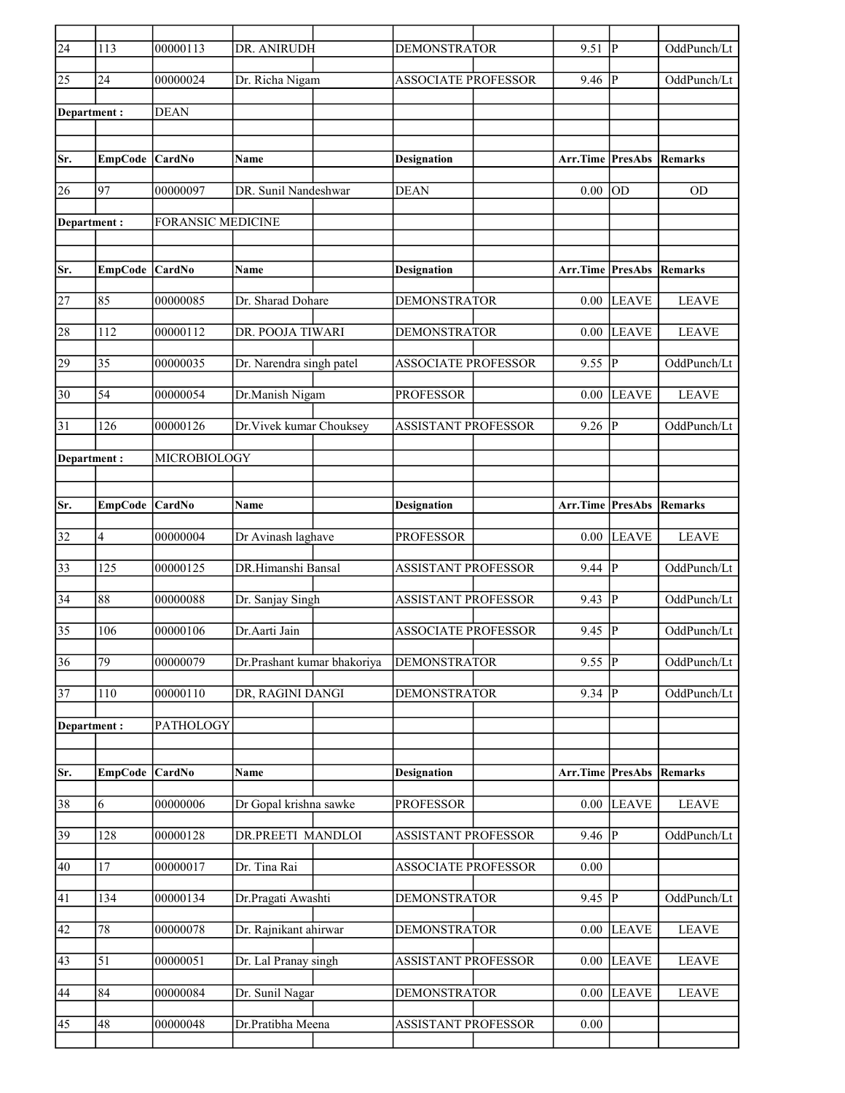| $\sqrt{24}$     | 113            | 00000113                 | DR. ANIRUDH                 | <b>DEMONSTRATOR</b>        | 9.51                | P                      | OddPunch/Lt    |
|-----------------|----------------|--------------------------|-----------------------------|----------------------------|---------------------|------------------------|----------------|
| 25              | 24             | 00000024                 | Dr. Richa Nigam             | <b>ASSOCIATE PROFESSOR</b> | 9.46                | P                      | OddPunch/Lt    |
| Department:     |                | <b>DEAN</b>              |                             |                            |                     |                        |                |
|                 |                |                          |                             |                            |                     |                        |                |
| Sr.             | <b>EmpCode</b> | CardNo                   | Name                        | <b>Designation</b>         | Arr.Time            | <b>PresAbs Remarks</b> |                |
| 26              | 97             | 00000097                 | DR. Sunil Nandeshwar        | <b>DEAN</b>                | 0.00                | OD                     | <b>OD</b>      |
| Department:     |                | <b>FORANSIC MEDICINE</b> |                             |                            |                     |                        |                |
|                 |                |                          |                             |                            |                     |                        |                |
| Sr.             | <b>EmpCode</b> | <b>CardNo</b>            | Name                        | <b>Designation</b>         | Arr.Time            | <b>PresAbs</b>         | <b>Remarks</b> |
| 27              | 85             | 00000085                 | Dr. Sharad Dohare           | <b>DEMONSTRATOR</b>        | 0.00                | <b>LEAVE</b>           | <b>LEAVE</b>   |
| 28              | 112            | 00000112                 | DR. POOJA TIWARI            | <b>DEMONSTRATOR</b>        | 0.00                | <b>LEAVE</b>           | <b>LEAVE</b>   |
| 29              | 35             | 00000035                 | Dr. Narendra singh patel    | <b>ASSOCIATE PROFESSOR</b> | 9.55                | P                      | OddPunch/Lt    |
| 30              | 54             | 00000054                 | Dr.Manish Nigam             | <b>PROFESSOR</b>           | 0.00                | <b>LEAVE</b>           | <b>LEAVE</b>   |
| 31              | 126            | 00000126                 | Dr. Vivek kumar Chouksey    | <b>ASSISTANT PROFESSOR</b> | 9.26                | $\mathbf{P}$           | OddPunch/Lt    |
| Department :    |                | MICROBIOLOGY             |                             |                            |                     |                        |                |
|                 |                |                          |                             |                            |                     |                        |                |
| Sr.             | EmpCode CardNo |                          | <b>Name</b>                 | <b>Designation</b>         | Arr.Time PresAbs    |                        | Remarks        |
| 32              | 4              | 00000004                 | Dr Avinash laghave          | <b>PROFESSOR</b>           | 0.00                | <b>LEAVE</b>           | <b>LEAVE</b>   |
| 33              | 125            | 00000125                 | DR.Himanshi Bansal          | <b>ASSISTANT PROFESSOR</b> | 9.44                | P                      | OddPunch/Lt    |
| 34              | 88             | 00000088                 | Dr. Sanjay Singh            | <b>ASSISTANT PROFESSOR</b> | 9.43                | $\mathbf{P}$           | OddPunch/Lt    |
| 35              | 106            | 00000106                 | Dr.Aarti Jain               | <b>ASSOCIATE PROFESSOR</b> | 9.45                | $\mathbf{P}$           | OddPunch/Lt    |
| $\overline{36}$ | 79             | 00000079                 | Dr.Prashant kumar bhakoriya | <b>DEMONSTRATOR</b>        | $9.55$ P            |                        | OddPunch/Lt    |
| 37              | 110            | 00000110                 | DR, RAGINI DANGI            | <b>DEMONSTRATOR</b>        | $9.34 \overline{P}$ |                        | OddPunch/Lt    |
| Department:     |                | PATHOLOGY                |                             |                            |                     |                        |                |
|                 |                |                          |                             |                            |                     |                        |                |
| Sr.             | <b>EmpCode</b> | <b>CardNo</b>            | Name                        | <b>Designation</b>         | Arr.Time PresAbs    |                        | Remarks        |
| 38              | 6              | 00000006                 | Dr Gopal krishna sawke      | <b>PROFESSOR</b>           | 0.00                | <b>LEAVE</b>           | <b>LEAVE</b>   |
| 39              | 128            | 00000128                 | DR.PREETI MANDLOI           | <b>ASSISTANT PROFESSOR</b> | $9.46$ P            |                        | OddPunch/Lt    |
| 40              | 17             | 00000017                 | Dr. Tina Rai                | <b>ASSOCIATE PROFESSOR</b> | 0.00                |                        |                |
| 41              | 134            | 00000134                 | Dr.Pragati Awashti          | <b>DEMONSTRATOR</b>        | $9.45$ P            |                        | OddPunch/Lt    |
| 42              | $78\,$         | 00000078                 | Dr. Rajnikant ahirwar       | <b>DEMONSTRATOR</b>        | 0.00                | <b>LEAVE</b>           | <b>LEAVE</b>   |
| 43              | 51             | 00000051                 | Dr. Lal Pranay singh        | ASSISTANT PROFESSOR        | 0.00                | <b>LEAVE</b>           | <b>LEAVE</b>   |
| 44              | 84             | 00000084                 | Dr. Sunil Nagar             | <b>DEMONSTRATOR</b>        | 0.00                | <b>LEAVE</b>           | <b>LEAVE</b>   |
| $ 45\rangle$    | 48             | 00000048                 | Dr.Pratibha Meena           | ASSISTANT PROFESSOR        | 0.00                |                        |                |
|                 |                |                          |                             |                            |                     |                        |                |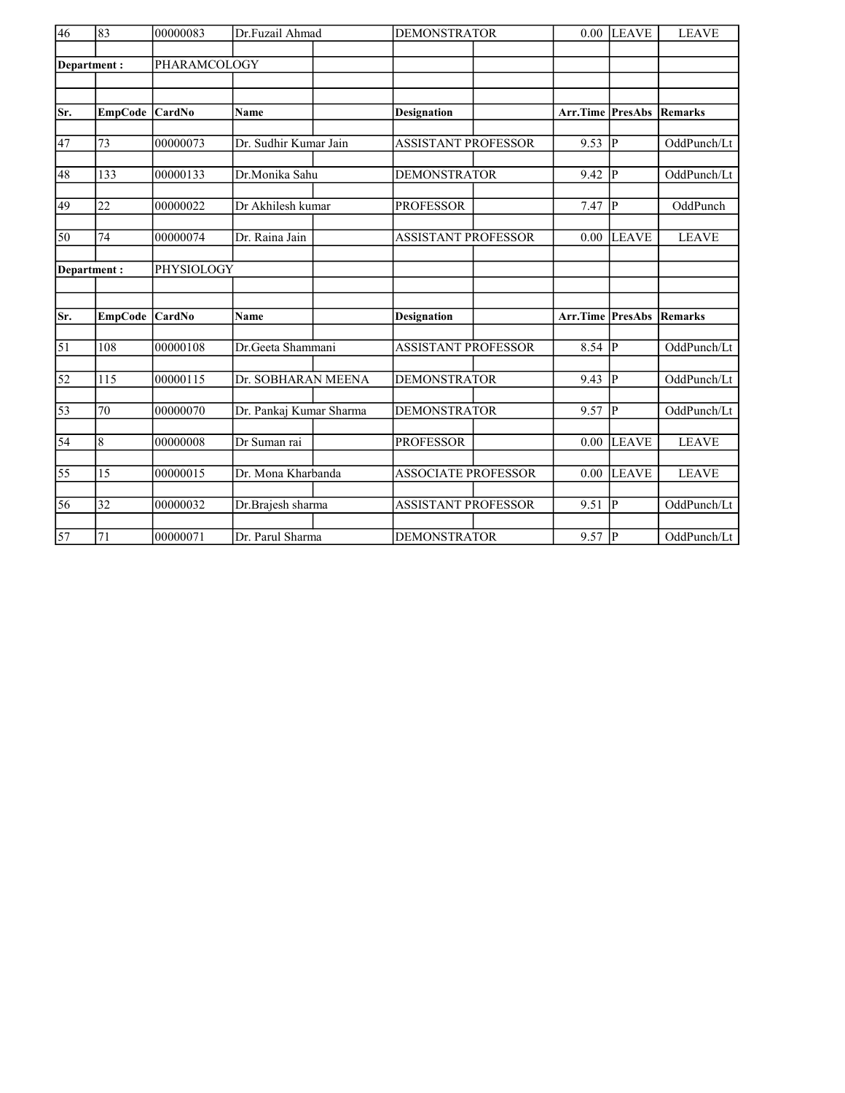| $\overline{46}$ | 83               | 00000083      | Dr.Fuzail Ahmad         | <b>DEMONSTRATOR</b>        |          | <b>LEAVE</b>   | <b>LEAVE</b>   |
|-----------------|------------------|---------------|-------------------------|----------------------------|----------|----------------|----------------|
|                 | Department:      | PHARAMCOLOGY  |                         |                            |          |                |                |
|                 |                  |               |                         |                            |          |                |                |
|                 |                  |               |                         |                            |          |                |                |
| Sr.             | <b>EmpCode</b>   | <b>CardNo</b> | <b>Name</b>             | <b>Designation</b>         | Arr.Time | PresAbs        | <b>Remarks</b> |
| 47              | 73               | 00000073      | Dr. Sudhir Kumar Jain   | ASSISTANT PROFESSOR        | 9.53     | P              | OddPunch/Lt    |
| 48              | 133              | 00000133      | Dr.Monika Sahu          | <b>DEMONSTRATOR</b>        | 9.42     | P              | OddPunch/Lt    |
|                 |                  |               |                         |                            |          |                |                |
| 49              | 22               | 00000022      | Dr Akhilesh kumar       | <b>PROFESSOR</b>           | $7.47$ P |                | OddPunch       |
| 50              | 74               | 00000074      | Dr. Raina Jain          | <b>ASSISTANT PROFESSOR</b> | 0.00     | <b>LEAVE</b>   | <b>LEAVE</b>   |
| Department:     |                  | PHYSIOLOGY    |                         |                            |          |                |                |
|                 |                  |               |                         |                            |          |                |                |
| Sr.             | <b>EmpCode</b>   | <b>CardNo</b> | <b>Name</b>             | <b>Designation</b>         | Arr.Time | <b>PresAbs</b> | <b>Remarks</b> |
|                 |                  |               |                         |                            |          |                |                |
| $\overline{51}$ | 108              | 00000108      | Dr.Geeta Shammani       | <b>ASSISTANT PROFESSOR</b> | 8.54     | P              | OddPunch/Lt    |
| $\overline{52}$ | $\overline{115}$ | 00000115      | Dr. SOBHARAN MEENA      | <b>DEMONSTRATOR</b>        | 9.43     | <b>P</b>       | OddPunch/Lt    |
|                 |                  |               |                         |                            |          |                |                |
| $\overline{53}$ | 70               | 00000070      | Dr. Pankaj Kumar Sharma | <b>DEMONSTRATOR</b>        | 9.57     | P              | OddPunch/Lt    |
| $\overline{54}$ | 8                | 00000008      | Dr Suman rai            | <b>PROFESSOR</b>           | 0.00     | LEAVE          | <b>LEAVE</b>   |
|                 |                  |               |                         |                            |          |                |                |
| 55              | 15               | 00000015      | Dr. Mona Kharbanda      | <b>ASSOCIATE PROFESSOR</b> | 0.00     | <b>LEAVE</b>   | <b>LEAVE</b>   |
| 56              | 32               | 00000032      | Dr.Brajesh sharma       | <b>ASSISTANT PROFESSOR</b> | 9.51     | P              | OddPunch/Lt    |
|                 |                  |               |                         |                            |          |                |                |
| $\overline{57}$ | 71               | 00000071      | Dr. Parul Sharma        | <b>DEMONSTRATOR</b>        | $9.57$ P |                | OddPunch/Lt    |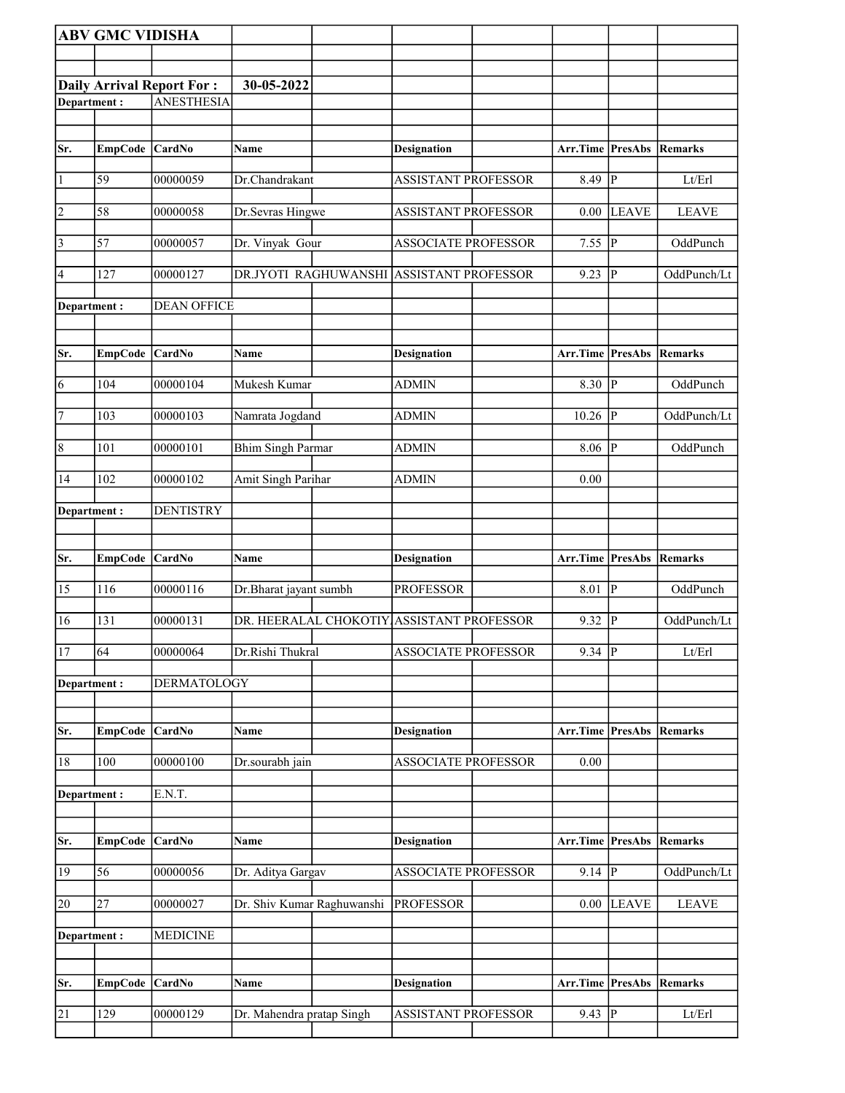|                 | <b>ABV GMC VIDISHA</b> |                                                       |                            |                                           |                                 |                |                |
|-----------------|------------------------|-------------------------------------------------------|----------------------------|-------------------------------------------|---------------------------------|----------------|----------------|
|                 |                        |                                                       |                            |                                           |                                 |                |                |
|                 |                        |                                                       | 30-05-2022                 |                                           |                                 |                |                |
| Department:     |                        | <b>Daily Arrival Report For:</b><br><b>ANESTHESIA</b> |                            |                                           |                                 |                |                |
|                 |                        |                                                       |                            |                                           |                                 |                |                |
|                 |                        |                                                       |                            |                                           |                                 |                |                |
| Sr.             | <b>EmpCode</b>         | <b>CardNo</b>                                         | Name                       | <b>Designation</b>                        | Arr.Time                        | PresAbs        | Remarks        |
| $\vert$ 1       | 59                     | 00000059                                              | Dr.Chandrakant             | <b>ASSISTANT PROFESSOR</b>                | 8.49                            | P              | Lt/Erl         |
| $\overline{2}$  | 58                     | 00000058                                              | Dr.Sevras Hingwe           | ASSISTANT PROFESSOR                       | 0.00                            | <b>LEAVE</b>   | <b>LEAVE</b>   |
| $\sqrt{3}$      | 57                     | 00000057                                              | Dr. Vinyak Gour            | <b>ASSOCIATE PROFESSOR</b>                | 7.55                            | <sup> p</sup>  | OddPunch       |
| 4               | 127                    | 00000127                                              |                            | DR.JYOTI RAGHUWANSHI ASSISTANT PROFESSOR  | 9.23                            | P              | OddPunch/Lt    |
| Department :    |                        | <b>DEAN OFFICE</b>                                    |                            |                                           |                                 |                |                |
| Sr.             | <b>EmpCode</b>         | <b>CardNo</b>                                         | Name                       | <b>Designation</b>                        | <b>Arr.Time PresAbs Remarks</b> |                |                |
| 6               | 104                    | 00000104                                              | Mukesh Kumar               | <b>ADMIN</b>                              | $8.30$ P                        |                | OddPunch       |
| $\overline{7}$  | 103                    | 00000103                                              | Namrata Jogdand            | ADMIN                                     | 10.26                           | lР             | OddPunch/Lt    |
| 8               | 101                    | 00000101                                              | <b>Bhim Singh Parmar</b>   | <b>ADMIN</b>                              | 8.06                            | $\overline{P}$ | OddPunch       |
| 14              | 102                    | 00000102                                              | Amit Singh Parihar         | <b>ADMIN</b>                              | 0.00                            |                |                |
| Department:     |                        | <b>DENTISTRY</b>                                      |                            |                                           |                                 |                |                |
|                 |                        |                                                       |                            |                                           |                                 |                |                |
|                 |                        |                                                       |                            |                                           |                                 |                |                |
| Sr.             | <b>EmpCode</b>         | <b>CardNo</b>                                         | Name                       | <b>Designation</b>                        | Arr.Time                        | PresAbs        | <b>Remarks</b> |
| 15              | 116                    | 00000116                                              | Dr.Bharat jayant sumbh     | <b>PROFESSOR</b>                          | 8.01                            | P              | OddPunch       |
| 16              | 131                    | 00000131                                              |                            | DR. HEERALAL CHOKOTIY ASSISTANT PROFESSOR | 9.32                            | $\overline{P}$ | OddPunch/Lt    |
| 17              | 64                     | 00000064                                              | Dr.Rishi Thukral           | <b>ASSOCIATE PROFESSOR</b>                | $9.34$ P                        |                | Lt/Erl         |
| Department :    |                        | <b>DERMATOLOGY</b>                                    |                            |                                           |                                 |                |                |
| Sr.             | <b>EmpCode</b>         | <b>CardNo</b>                                         | Name                       | <b>Designation</b>                        | Arr.Time                        | <b>PresAbs</b> | <b>Remarks</b> |
| 18              | 100                    | 00000100                                              | Dr.sourabh jain            | <b>ASSOCIATE PROFESSOR</b>                | 0.00                            |                |                |
| Department:     |                        | E.N.T.                                                |                            |                                           |                                 |                |                |
|                 |                        |                                                       |                            |                                           |                                 |                |                |
| Sr.             | <b>EmpCode</b>         | <b>CardNo</b>                                         | Name                       | <b>Designation</b>                        | Arr.Time PresAbs                |                | Remarks        |
| 19              | 56                     | 00000056                                              | Dr. Aditya Gargav          | <b>ASSOCIATE PROFESSOR</b>                | $9.14$ P                        |                | OddPunch/Lt    |
| 20              | 27                     | 00000027                                              | Dr. Shiv Kumar Raghuwanshi | <b>PROFESSOR</b>                          | 0.00                            | <b>LEAVE</b>   | <b>LEAVE</b>   |
| Department :    |                        | <b>MEDICINE</b>                                       |                            |                                           |                                 |                |                |
|                 |                        |                                                       |                            |                                           |                                 |                |                |
| Sr.             | <b>EmpCode</b>         | <b>CardNo</b>                                         | Name                       | <b>Designation</b>                        | Arr.Time                        | <b>PresAbs</b> | Remarks        |
| $\overline{21}$ | 129                    | 00000129                                              | Dr. Mahendra pratap Singh  | <b>ASSISTANT PROFESSOR</b>                | $9.43$ P                        |                | Lt/Erl         |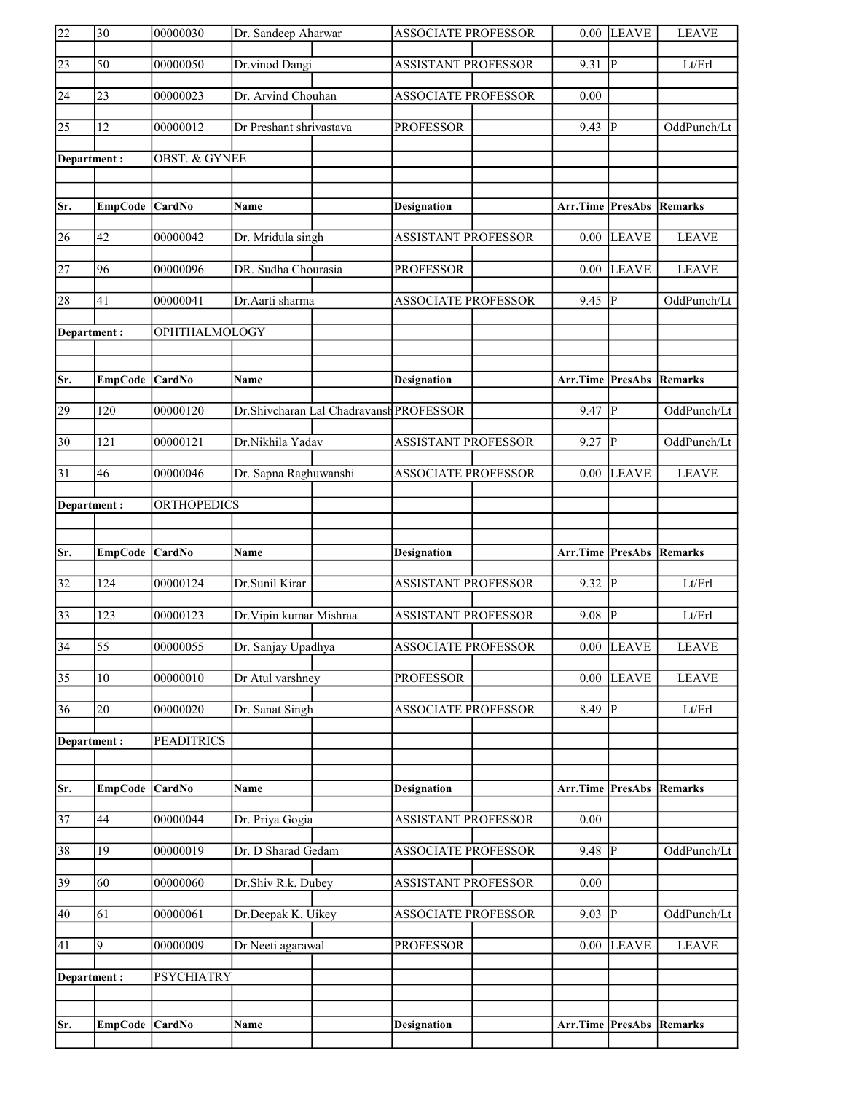| 22              | 30              | 00000030                 | Dr. Sandeep Aharwar     |                                         | <b>ASSOCIATE PROFESSOR</b> |                  | $0.00$ LEAVE   | <b>LEAVE</b>   |
|-----------------|-----------------|--------------------------|-------------------------|-----------------------------------------|----------------------------|------------------|----------------|----------------|
| $\overline{23}$ | 50              | 00000050                 | Dr.vinod Dangi          |                                         | <b>ASSISTANT PROFESSOR</b> | 9.31             | $ {\bf p} $    | Lt/Erl         |
| 24              | 23              | 00000023                 | Dr. Arvind Chouhan      |                                         | ASSOCIATE PROFESSOR        | 0.00             |                |                |
| $\overline{25}$ | $\overline{12}$ | 00000012                 | Dr Preshant shrivastava |                                         | <b>PROFESSOR</b>           | 9.43             | <sup> </sup> P | OddPunch/Lt    |
| Department:     |                 | <b>OBST. &amp; GYNEE</b> |                         |                                         |                            |                  |                |                |
|                 |                 |                          |                         |                                         |                            |                  |                |                |
| Sr.             | <b>EmpCode</b>  | <b>CardNo</b>            | <b>Name</b>             |                                         | <b>Designation</b>         | Arr.Time PresAbs |                | Remarks        |
| 26              | 42              | 00000042                 | Dr. Mridula singh       |                                         | <b>ASSISTANT PROFESSOR</b> | 0.00             | <b>LEAVE</b>   | <b>LEAVE</b>   |
| $\overline{27}$ | 96              | 00000096                 | DR. Sudha Chourasia     |                                         | <b>PROFESSOR</b>           | 0.00             | <b>LEAVE</b>   | <b>LEAVE</b>   |
|                 |                 |                          |                         |                                         |                            |                  |                |                |
| 28              | 41              | 00000041                 | Dr.Aarti sharma         |                                         | <b>ASSOCIATE PROFESSOR</b> | 9.45             | <b>P</b>       | OddPunch/Lt    |
| Department:     |                 | OPHTHALMOLOGY            |                         |                                         |                            |                  |                |                |
|                 |                 |                          |                         |                                         |                            |                  |                |                |
| Sr.             | <b>EmpCode</b>  | <b>CardNo</b>            | Name                    |                                         | <b>Designation</b>         | Arr.Time PresAbs |                | Remarks        |
| 29              | 120             | 00000120                 |                         | Dr.Shivcharan Lal Chadravansh PROFESSOR |                            | 9.47             | P              | OddPunch/Lt    |
| $\overline{30}$ | 121             | 00000121                 | Dr.Nikhila Yadav        |                                         | <b>ASSISTANT PROFESSOR</b> | 9.27             | P              | OddPunch/Lt    |
| 31              | 46              | 00000046                 | Dr. Sapna Raghuwanshi   |                                         | <b>ASSOCIATE PROFESSOR</b> | 0.00             | <b>LEAVE</b>   | <b>LEAVE</b>   |
| Department:     |                 | <b>ORTHOPEDICS</b>       |                         |                                         |                            |                  |                |                |
|                 |                 |                          |                         |                                         |                            |                  |                |                |
|                 |                 |                          |                         |                                         |                            |                  |                |                |
| Sr.             | <b>EmpCode</b>  | <b>CardNo</b>            | Name                    |                                         | <b>Designation</b>         | Arr.Time         | PresAbs        | Remarks        |
| $\overline{32}$ | 124             | 00000124                 | Dr.Sunil Kirar          |                                         | <b>ASSISTANT PROFESSOR</b> | 9.32             | P              | Lt/Erl         |
| $\overline{33}$ | 123             | 00000123                 | Dr. Vipin kumar Mishraa |                                         | <b>ASSISTANT PROFESSOR</b> | 9.08             | <b>P</b>       | Lt/Erl         |
| $\overline{34}$ | $\overline{55}$ | 00000055                 | Dr. Sanjay Upadhya      |                                         | <b>ASSOCIATE PROFESSOR</b> | 0.00             | <b>LEAVE</b>   | <b>LEAVE</b>   |
| $\overline{35}$ | 10              | 00000010                 | Dr Atul varshney        |                                         | <b>PROFESSOR</b>           | 0.00             | <b>LEAVE</b>   | <b>LEAVE</b>   |
| 36              | 20              | 00000020                 | Dr. Sanat Singh         |                                         | <b>ASSOCIATE PROFESSOR</b> | 8.49             | <b>P</b>       | Lt/Erl         |
| Department:     |                 | <b>PEADITRICS</b>        |                         |                                         |                            |                  |                |                |
|                 |                 |                          |                         |                                         |                            |                  |                |                |
| Sr.             | <b>EmpCode</b>  | CardNo                   | Name                    |                                         | <b>Designation</b>         | Arr.Time         | <b>PresAbs</b> | <b>Remarks</b> |
| $\overline{37}$ | 44              | 00000044                 | Dr. Priya Gogia         |                                         | ASSISTANT PROFESSOR        | 0.00             |                |                |
| 38              | 19              | 00000019                 | Dr. D Sharad Gedam      |                                         | <b>ASSOCIATE PROFESSOR</b> | $9.48$ P         |                | OddPunch/Lt    |
| 39              | 60              | 00000060                 | Dr.Shiv R.k. Dubey      |                                         | ASSISTANT PROFESSOR        | 0.00             |                |                |
| 40              | 61              | 00000061                 | Dr.Deepak K. Uikey      |                                         | <b>ASSOCIATE PROFESSOR</b> | $9.03$ P         |                | OddPunch/Lt    |
| 41              | 9               | 00000009                 | Dr Neeti agarawal       |                                         | PROFESSOR                  | 0.00             | <b>LEAVE</b>   | <b>LEAVE</b>   |
|                 |                 |                          |                         |                                         |                            |                  |                |                |
| Department:     |                 | <b>PSYCHIATRY</b>        |                         |                                         |                            |                  |                |                |
| Sr.             | <b>EmpCode</b>  | CardNo                   | Name                    |                                         | <b>Designation</b>         | Arr.Time         | <b>PresAbs</b> | Remarks        |